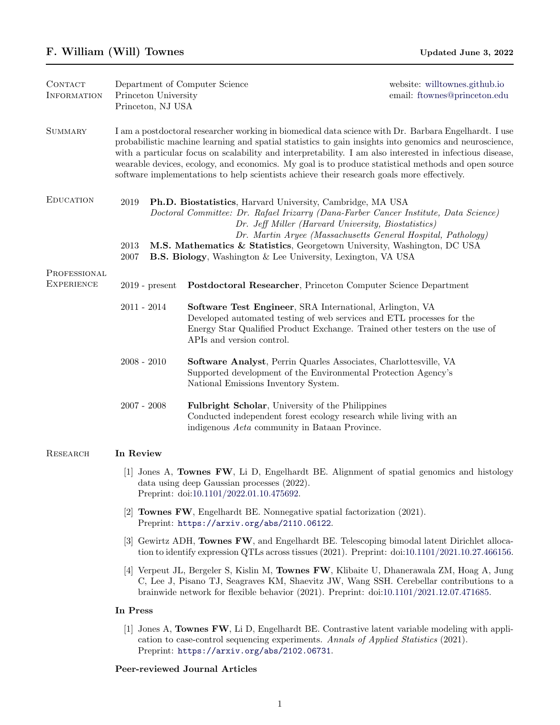| CONTACT<br><b>INFORMATION</b> | Department of Computer Science<br>Princeton University<br>Princeton, NJ USA                                                                                                                                                                                                                                                                                                                                                                                                                                                     |                                                                                                                                                                                                                                               | website: willtownes.github.io<br>email: ftownes@princeton.edu |  |  |
|-------------------------------|---------------------------------------------------------------------------------------------------------------------------------------------------------------------------------------------------------------------------------------------------------------------------------------------------------------------------------------------------------------------------------------------------------------------------------------------------------------------------------------------------------------------------------|-----------------------------------------------------------------------------------------------------------------------------------------------------------------------------------------------------------------------------------------------|---------------------------------------------------------------|--|--|
| <b>SUMMARY</b>                | I am a postdoctoral researcher working in biomedical data science with Dr. Barbara Engelhardt. I use<br>probabilistic machine learning and spatial statistics to gain insights into genomics and neuroscience,<br>with a particular focus on scalability and interpretability. I am also interested in infectious disease,<br>wearable devices, ecology, and economics. My goal is to produce statistical methods and open source<br>software implementations to help scientists achieve their research goals more effectively. |                                                                                                                                                                                                                                               |                                                               |  |  |
| <b>EDUCATION</b>              | 2019<br>Ph.D. Biostatistics, Harvard University, Cambridge, MA USA<br>Doctoral Committee: Dr. Rafael Irizarry (Dana-Farber Cancer Institute, Data Science)<br>Dr. Jeff Miller (Harvard University, Biostatistics)<br>Dr. Martin Aryee (Massachusetts General Hospital, Pathology)<br>M.S. Mathematics & Statistics, Georgetown University, Washington, DC USA<br>2013<br>2007<br><b>B.S. Biology</b> , Washington & Lee University, Lexington, VA USA                                                                           |                                                                                                                                                                                                                                               |                                                               |  |  |
| PROFESSIONAL                  |                                                                                                                                                                                                                                                                                                                                                                                                                                                                                                                                 |                                                                                                                                                                                                                                               |                                                               |  |  |
| <b>EXPERIENCE</b>             | $2019$ - present                                                                                                                                                                                                                                                                                                                                                                                                                                                                                                                | Postdoctoral Researcher, Princeton Computer Science Department                                                                                                                                                                                |                                                               |  |  |
|                               | $2011 - 2014$                                                                                                                                                                                                                                                                                                                                                                                                                                                                                                                   | Software Test Engineer, SRA International, Arlington, VA<br>Developed automated testing of web services and ETL processes for the<br>Energy Star Qualified Product Exchange. Trained other testers on the use of<br>APIs and version control. |                                                               |  |  |
|                               | $2008 - 2010$                                                                                                                                                                                                                                                                                                                                                                                                                                                                                                                   | Software Analyst, Perrin Quarles Associates, Charlottesville, VA<br>Supported development of the Environmental Protection Agency's<br>National Emissions Inventory System.                                                                    |                                                               |  |  |
|                               | $2007 - 2008$                                                                                                                                                                                                                                                                                                                                                                                                                                                                                                                   | Fulbright Scholar, University of the Philippines<br>Conducted independent forest ecology research while living with an<br>indigenous <i>Aeta</i> community in Bataan Province.                                                                |                                                               |  |  |
| RESEARCH                      | In Review                                                                                                                                                                                                                                                                                                                                                                                                                                                                                                                       |                                                                                                                                                                                                                                               |                                                               |  |  |
|                               | [1] Jones A, Townes FW, Li D, Engelhardt BE. Alignment of spatial genomics and histology<br>data using deep Gaussian processes $(2022)$ .<br>Preprint: doi:10.1101/2022.01.10.475692.                                                                                                                                                                                                                                                                                                                                           |                                                                                                                                                                                                                                               |                                                               |  |  |
|                               | [2] <b>Townes FW</b> , Engelhardt BE. Nonnegative spatial factorization $(2021)$ .<br>Preprint: https://arxiv.org/abs/2110.06122.                                                                                                                                                                                                                                                                                                                                                                                               |                                                                                                                                                                                                                                               |                                                               |  |  |
|                               | [3] Gewirtz ADH, Townes FW, and Engelhardt BE. Telescoping bimodal latent Dirichlet alloca-<br>tion to identify expression QTLs across tissues $(2021)$ . Preprint: $\text{doi: } 10.1101 / 2021.10.27.466156$ .                                                                                                                                                                                                                                                                                                                |                                                                                                                                                                                                                                               |                                                               |  |  |
|                               | [4] Verpeut JL, Bergeler S, Kislin M, Townes FW, Klibaite U, Dhanerawala ZM, Hoag A, Jung<br>C, Lee J, Pisano TJ, Seagraves KM, Shaevitz JW, Wang SSH. Cerebellar contributions to a<br>brainwide network for flexible behavior $(2021)$ . Preprint: $\text{doi:10.1101}/2021.12.07.471685$ .                                                                                                                                                                                                                                   |                                                                                                                                                                                                                                               |                                                               |  |  |
|                               | In Press                                                                                                                                                                                                                                                                                                                                                                                                                                                                                                                        |                                                                                                                                                                                                                                               |                                                               |  |  |
|                               | 1                                                                                                                                                                                                                                                                                                                                                                                                                                                                                                                               | Jones A, Townes FW, Li D, Engelhardt BE. Contrastive latent variable modeling with appli-                                                                                                                                                     |                                                               |  |  |

cation to case-control sequencing experiments. Annals of Applied Statistics (2021). Preprint: <https://arxiv.org/abs/2102.06731>.

# Peer-reviewed Journal Articles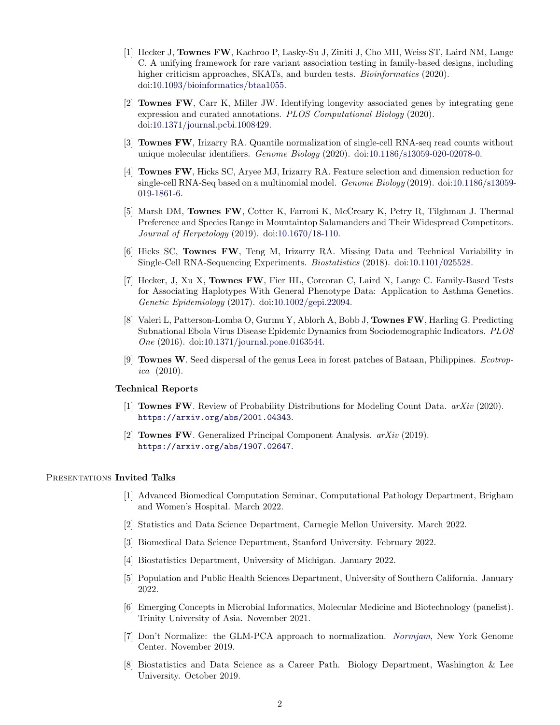- [1] Hecker J, Townes FW, Kachroo P, Lasky-Su J, Ziniti J, Cho MH, Weiss ST, Laird NM, Lange C. A unifying framework for rare variant association testing in family-based designs, including higher criticism approaches, SKATs, and burden tests. *Bioinformatics* (2020). doi[:10.1093/bioinformatics/btaa1055.](https://dx.doi.org/10.1093/bioinformatics/btaa1055)
- [2] Townes FW, Carr K, Miller JW. Identifying longevity associated genes by integrating gene expression and curated annotations. PLOS Computational Biology (2020). doi[:10.1371/journal.pcbi.1008429.](https://dx.doi.org/10.1371/journal.pcbi.1008429)
- [3] Townes FW, Irizarry RA. Quantile normalization of single-cell RNA-seq read counts without unique molecular identifiers. *Genome Biology* (2020). doi[:10.1186/s13059-020-02078-0.](https://dx.doi.org/10.1186/s13059-020-02078-0)
- [4] Townes FW, Hicks SC, Aryee MJ, Irizarry RA. Feature selection and dimension reduction for single-cell RNA-Seq based on a multinomial model. *Genome Biology* (2019). doi[:10.1186/s13059-](https://dx.doi.org/10.1186/s13059-019-1861-6) [019-1861-6.](https://dx.doi.org/10.1186/s13059-019-1861-6)
- [5] Marsh DM, Townes FW, Cotter K, Farroni K, McCreary K, Petry R, Tilghman J. Thermal Preference and Species Range in Mountaintop Salamanders and Their Widespread Competitors. Journal of Herpetology (2019). doi[:10.1670/18-110.](https://dx.doi.org/10.1670/18-110)
- [6] Hicks SC, Townes FW, Teng M, Irizarry RA. Missing Data and Technical Variability in Single-Cell RNA-Sequencing Experiments. Biostatistics (2018). doi[:10.1101/025528.](https://dx.doi.org/10.1101/025528)
- [7] Hecker, J, Xu X, Townes FW, Fier HL, Corcoran C, Laird N, Lange C. Family-Based Tests for Associating Haplotypes With General Phenotype Data: Application to Asthma Genetics. Genetic Epidemiology (2017). doi[:10.1002/gepi.22094.](https://dx.doi.org/10.1002/gepi.22094)
- [8] Valeri L, Patterson-Lomba O, Gurmu Y, Ablorh A, Bobb J, Townes FW, Harling G. Predicting Subnational Ebola Virus Disease Epidemic Dynamics from Sociodemographic Indicators. PLOS One (2016). doi[:10.1371/journal.pone.0163544.](https://dx.doi.org/10.1371/journal.pone.0163544)
- [9] Townes W. Seed dispersal of the genus Leea in forest patches of Bataan, Philippines. Ecotropica (2010).

## Technical Reports

- [1] Townes FW. Review of Probability Distributions for Modeling Count Data. arXiv (2020). <https://arxiv.org/abs/2001.04343>.
- [2] Townes FW. Generalized Principal Component Analysis. arXiv (2019). <https://arxiv.org/abs/1907.02647>.

#### PRESENTATIONS Invited Talks

- [1] Advanced Biomedical Computation Seminar, Computational Pathology Department, Brigham and Women's Hospital. March 2022.
- [2] Statistics and Data Science Department, Carnegie Mellon University. March 2022.
- [3] Biomedical Data Science Department, Stanford University. February 2022.
- [4] Biostatistics Department, University of Michigan. January 2022.
- [5] Population and Public Health Sciences Department, University of Southern California. January 2022.
- [6] Emerging Concepts in Microbial Informatics, Molecular Medicine and Biotechnology (panelist). Trinity University of Asia. November 2021.
- [7] Don't Normalize: the GLM-PCA approach to normalization. [Normjam](https://normjam.github.io/), New York Genome Center. November 2019.
- [8] Biostatistics and Data Science as a Career Path. Biology Department, Washington & Lee University. October 2019.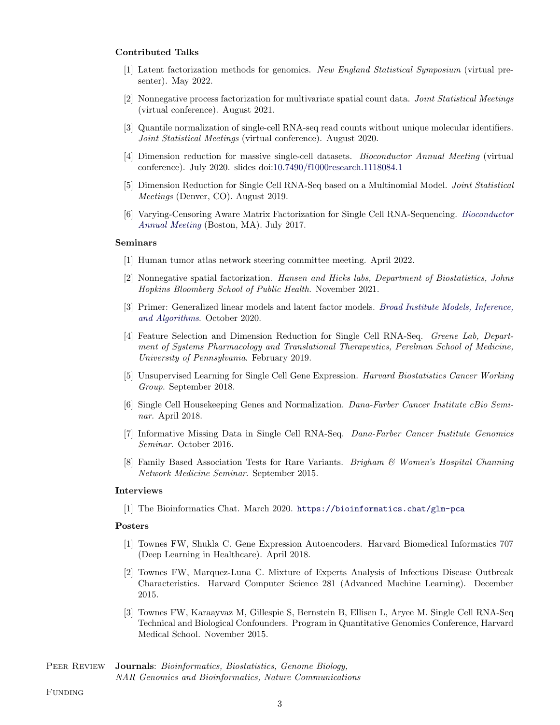## Contributed Talks

- [1] Latent factorization methods for genomics. New England Statistical Symposium (virtual presenter). May 2022.
- [2] Nonnegative process factorization for multivariate spatial count data. Joint Statistical Meetings (virtual conference). August 2021.
- [3] Quantile normalization of single-cell RNA-seq read counts without unique molecular identifiers. Joint Statistical Meetings (virtual conference). August 2020.
- [4] Dimension reduction for massive single-cell datasets. Bioconductor Annual Meeting (virtual conference). July 2020. slides doi[:10.7490/f1000research.1118084.1](https://dx.doi.org/10.7490/f1000research.1118084.1)
- [5] Dimension Reduction for Single Cell RNA-Seq based on a Multinomial Model. Joint Statistical Meetings (Denver, CO). August 2019.
- [6] Varying-Censoring Aware Matrix Factorization for Single Cell RNA-Sequencing. [Bioconductor](https://www.bioconductor.org/help/course-materials/2017/BioC2017/) [Annual Meeting](https://www.bioconductor.org/help/course-materials/2017/BioC2017/) (Boston, MA). July 2017.

#### Seminars

- [1] Human tumor atlas network steering committee meeting. April 2022.
- [2] Nonnegative spatial factorization. Hansen and Hicks labs, Department of Biostatistics, Johns Hopkins Bloomberg School of Public Health. November 2021.
- [3] Primer: Generalized linear models and latent factor models. [Broad Institute Models, Inference,](https://www.broadinstitute.org/talks/primer-generalized-linear-models-and-latent-factor-models) [and Algorithms](https://www.broadinstitute.org/talks/primer-generalized-linear-models-and-latent-factor-models). October 2020.
- [4] Feature Selection and Dimension Reduction for Single Cell RNA-Seq. Greene Lab, Department of Systems Pharmacology and Translational Therapeutics, Perelman School of Medicine, University of Pennsylvania. February 2019.
- [5] Unsupervised Learning for Single Cell Gene Expression. Harvard Biostatistics Cancer Working Group. September 2018.
- [6] Single Cell Housekeeping Genes and Normalization. Dana-Farber Cancer Institute cBio Seminar. April 2018.
- [7] Informative Missing Data in Single Cell RNA-Seq. Dana-Farber Cancer Institute Genomics Seminar. October 2016.
- [8] Family Based Association Tests for Rare Variants. Brigham & Women's Hospital Channing Network Medicine Seminar. September 2015.

#### Interviews

[1] The Bioinformatics Chat. March 2020. <https://bioinformatics.chat/glm-pca>

## Posters

- [1] Townes FW, Shukla C. Gene Expression Autoencoders. Harvard Biomedical Informatics 707 (Deep Learning in Healthcare). April 2018.
- [2] Townes FW, Marquez-Luna C. Mixture of Experts Analysis of Infectious Disease Outbreak Characteristics. Harvard Computer Science 281 (Advanced Machine Learning). December 2015.
- [3] Townes FW, Karaayvaz M, Gillespie S, Bernstein B, Ellisen L, Aryee M. Single Cell RNA-Seq Technical and Biological Confounders. Program in Quantitative Genomics Conference, Harvard Medical School. November 2015.

## PEER REVIEW **Journals**: *Bioinformatics*, *Biostatistics*, *Genome Biology*, NAR Genomics and Bioinformatics, Nature Communications